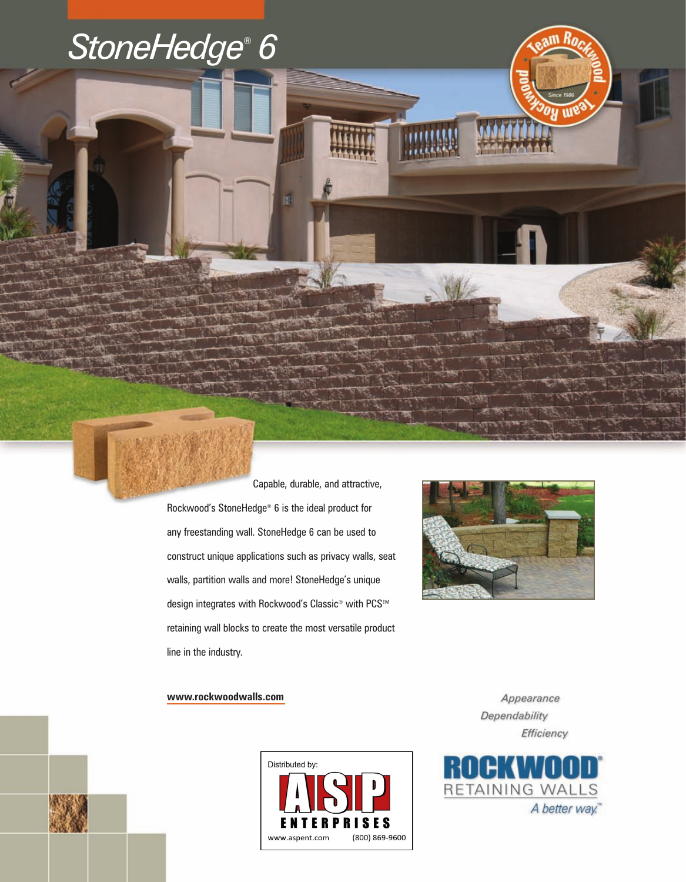

Capable, durable, and attractive,

Rockwood's StoneHedge® 6 is the ideal product for any freestanding wall. StoneHedge 6 can be used to construct unique applications such as privacy walls, seat walls, partition walls and more! StoneHedge's unique design integrates with Rockwood's Classic<sup>®</sup> with PCS<sup>™</sup> retaining wall blocks to create the most versatile product line in the industry.

n.



**www.rockwoodwalls.com**



Appearance Dependability Efficiency